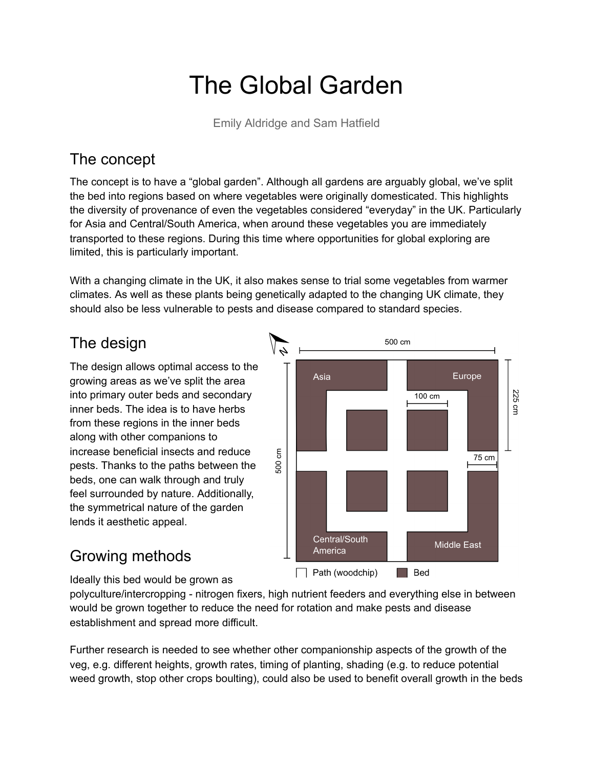# The Global Garden

Emily Aldridge and Sam Hatfield

# The concept

The concept is to have a "global garden". Although all gardens are arguably global, we've split the bed into regions based on where vegetables were originally domesticated. This highlights the diversity of provenance of even the vegetables considered "everyday" in the UK. Particularly for Asia and Central/South America, when around these vegetables you are immediately transported to these regions. During this time where opportunities for global exploring are limited, this is particularly important.

With a changing climate in the UK, it also makes sense to trial some vegetables from warmer climates. As well as these plants being genetically adapted to the changing UK climate, they should also be less vulnerable to pests and disease compared to standard species.

# The design

The design allows optimal access to the growing areas as we've split the area into primary outer beds and secondary inner beds. The idea is to have herbs from these regions in the inner beds along with other companions to increase beneficial insects and reduce pests. Thanks to the paths between the beds, one can walk through and truly feel surrounded by nature. Additionally, the symmetrical nature of the garden lends it aesthetic appeal.



# Growing methods

Ideally this bed would be grown as

polyculture/intercropping - nitrogen fixers, high nutrient feeders and everything else in between would be grown together to reduce the need for rotation and make pests and disease establishment and spread more difficult.

Further research is needed to see whether other companionship aspects of the growth of the veg, e.g. different heights, growth rates, timing of planting, shading (e.g. to reduce potential weed growth, stop other crops boulting), could also be used to benefit overall growth in the beds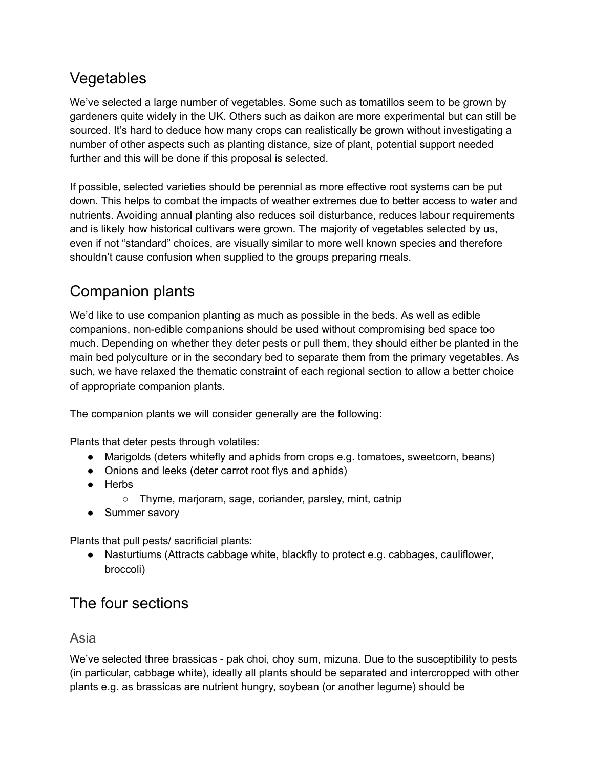## Vegetables

We've selected a large number of vegetables. Some such as tomatillos seem to be grown by gardeners quite widely in the UK. Others such as daikon are more experimental but can still be sourced. It's hard to deduce how many crops can realistically be grown without investigating a number of other aspects such as planting distance, size of plant, potential support needed further and this will be done if this proposal is selected.

If possible, selected varieties should be perennial as more effective root systems can be put down. This helps to combat the impacts of weather extremes due to better access to water and nutrients. Avoiding annual planting also reduces soil disturbance, reduces labour requirements and is likely how historical cultivars were grown. The majority of vegetables selected by us, even if not "standard" choices, are visually similar to more well known species and therefore shouldn't cause confusion when supplied to the groups preparing meals.

# Companion plants

We'd like to use companion planting as much as possible in the beds. As well as edible companions, non-edible companions should be used without compromising bed space too much. Depending on whether they deter pests or pull them, they should either be planted in the main bed polyculture or in the secondary bed to separate them from the primary vegetables. As such, we have relaxed the thematic constraint of each regional section to allow a better choice of appropriate companion plants.

The companion plants we will consider generally are the following:

Plants that deter pests through volatiles:

- Marigolds (deters whitefly and aphids from crops e.g. tomatoes, sweetcorn, beans)
- Onions and leeks (deter carrot root flys and aphids)
- Herbs
	- Thyme, marjoram, sage, coriander, parsley, mint, catnip
- Summer savory

Plants that pull pests/ sacrificial plants:

● Nasturtiums (Attracts cabbage white, blackfly to protect e.g. cabbages, cauliflower, broccoli)

## The four sections

#### Asia

We've selected three brassicas - pak choi, choy sum, mizuna. Due to the susceptibility to pests (in particular, cabbage white), ideally all plants should be separated and intercropped with other plants e.g. as brassicas are nutrient hungry, soybean (or another legume) should be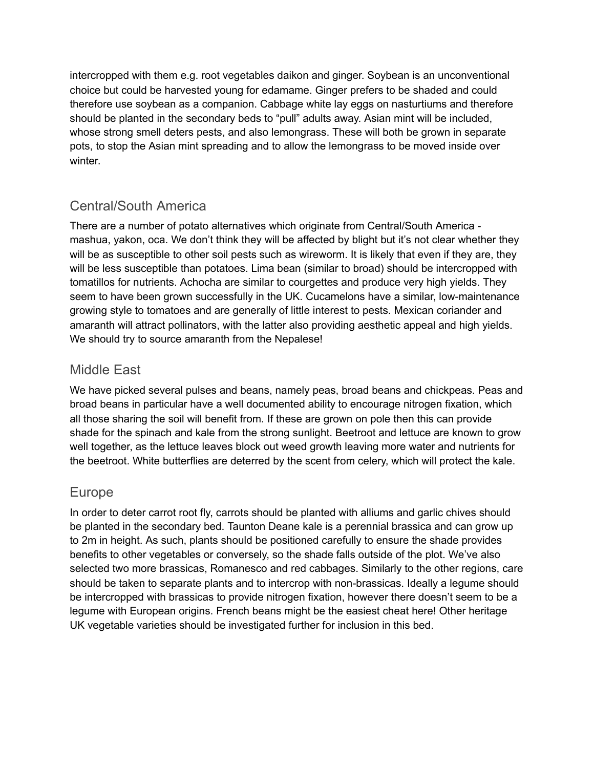intercropped with them e.g. root vegetables daikon and ginger. Soybean is an unconventional choice but could be harvested young for edamame. Ginger prefers to be shaded and could therefore use soybean as a companion. Cabbage white lay eggs on nasturtiums and therefore should be planted in the secondary beds to "pull" adults away. Asian mint will be included, whose strong smell deters pests, and also lemongrass. These will both be grown in separate pots, to stop the Asian mint spreading and to allow the lemongrass to be moved inside over winter.

## Central/South America

There are a number of potato alternatives which originate from Central/South America mashua, yakon, oca. We don't think they will be affected by blight but it's not clear whether they will be as susceptible to other soil pests such as wireworm. It is likely that even if they are, they will be less susceptible than potatoes. Lima bean (similar to broad) should be intercropped with tomatillos for nutrients. Achocha are similar to courgettes and produce very high yields. They seem to have been grown successfully in the UK. Cucamelons have a similar, low-maintenance growing style to tomatoes and are generally of little interest to pests. Mexican coriander and amaranth will attract pollinators, with the latter also providing aesthetic appeal and high yields. We should try to source amaranth from the Nepalese!

#### Middle East

We have picked several pulses and beans, namely peas, broad beans and chickpeas. Peas and broad beans in particular have a well documented ability to encourage nitrogen fixation, which all those sharing the soil will benefit from. If these are grown on pole then this can provide shade for the spinach and kale from the strong sunlight. Beetroot and lettuce are known to grow well together, as the lettuce leaves block out weed growth leaving more water and nutrients for the beetroot. White butterflies are deterred by the scent from celery, which will protect the kale.

### Europe

In order to deter carrot root fly, carrots should be planted with alliums and garlic chives should be planted in the secondary bed. Taunton Deane kale is a perennial brassica and can grow up to 2m in height. As such, plants should be positioned carefully to ensure the shade provides benefits to other vegetables or conversely, so the shade falls outside of the plot. We've also selected two more brassicas, Romanesco and red cabbages. Similarly to the other regions, care should be taken to separate plants and to intercrop with non-brassicas. Ideally a legume should be intercropped with brassicas to provide nitrogen fixation, however there doesn't seem to be a legume with European origins. French beans might be the easiest cheat here! Other heritage UK vegetable varieties should be investigated further for inclusion in this bed.